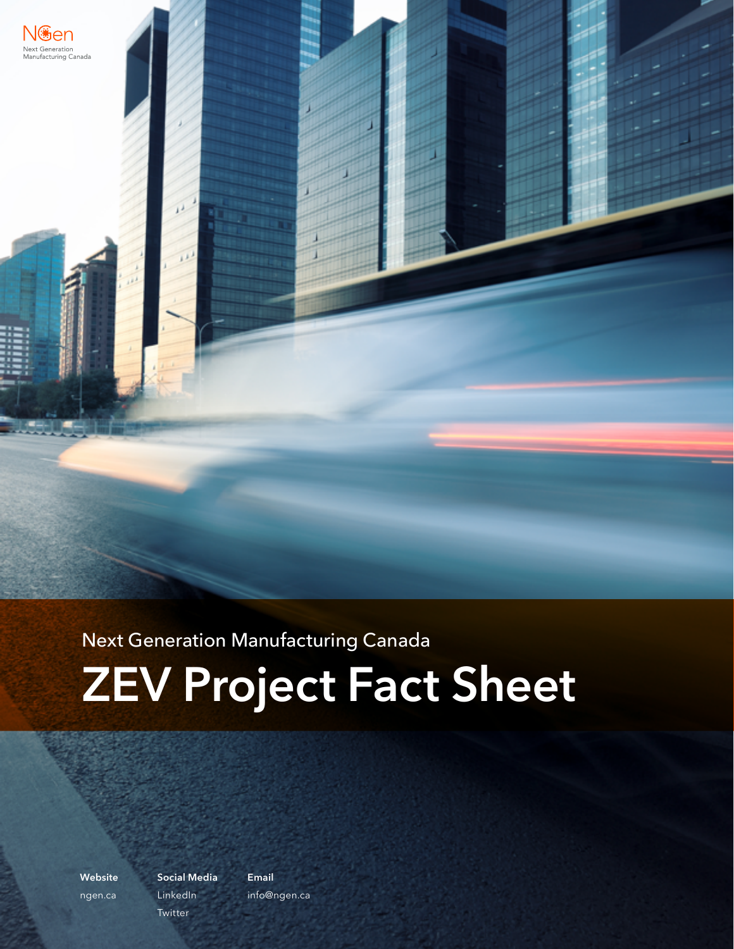

# Next Generation Manufacturing Canada **ZEV Project Fact Sheet**

**Website** [ngen.ca](http://www.ngen.ca) **Social Media** [LinkedIn](https://ca.linkedin.com/company/ngmcanada.com) **[Twitter](https://twitter.com/NGen_Canada)** 

**Email** i[nfo@ngen.ca](mailto:info%40ngen.ca?subject=)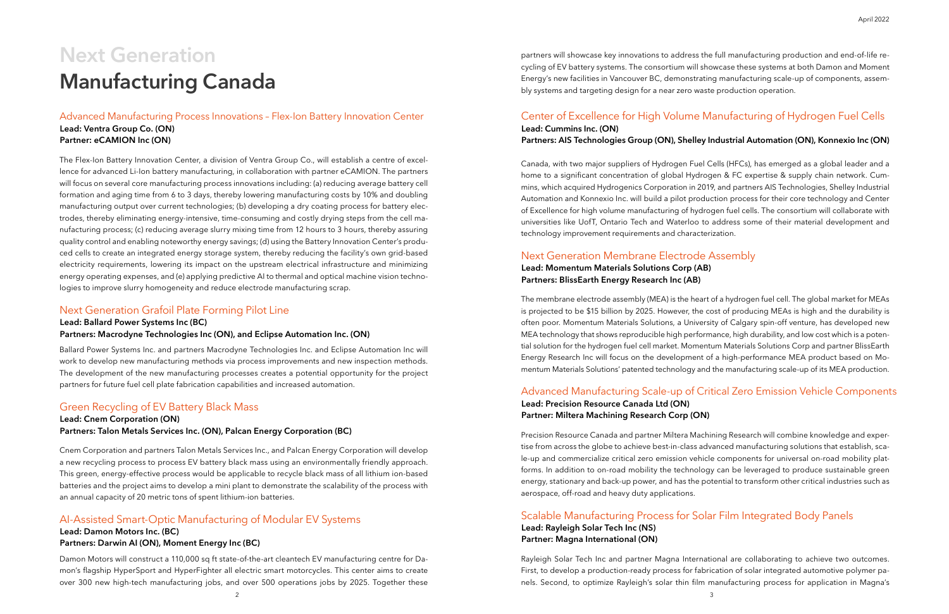The Flex-Ion Battery Innovation Center, a division of Ventra Group Co., will establish a centre of excellence for advanced Li-Ion battery manufacturing, in collaboration with partner eCAMION. The partners will focus on several core manufacturing process innovations including: (a) reducing average battery cell formation and aging time from 6 to 3 days, thereby lowering manufacturing costs by 10% and doubling manufacturing output over current technologies; (b) developing a dry coating process for battery electrodes, thereby eliminating energy-intensive, time-consuming and costly drying steps from the cell manufacturing process; (c) reducing average slurry mixing time from 12 hours to 3 hours, thereby assuring quality control and enabling noteworthy energy savings; (d) using the Battery Innovation Center's produced cells to create an integrated energy storage system, thereby reducing the facility's own grid-based electricity requirements, lowering its impact on the upstream electrical infrastructure and minimizing energy operating expenses, and (e) applying predictive AI to thermal and optical machine vision technologies to improve slurry homogeneity and reduce electrode manufacturing scrap.

Advanced Manufacturing Process Innovations – Flex-Ion Battery Innovation Center Lead: Ventra Group Co. (ON) Partner: eCAMION Inc (ON)

Ballard Power Systems Inc. and partners Macrodyne Technologies Inc. and Eclipse Automation Inc will work to develop new manufacturing methods via process improvements and new inspection methods. The development of the new manufacturing processes creates a potential opportunity for the project partners for future fuel cell plate fabrication capabilities and increased automation.

# Next Generation Grafoil Plate Forming Pilot Line

Lead: Ballard Power Systems Inc (BC)

#### Partners: Macrodyne Technologies Inc (ON), and Eclipse Automation Inc. (ON)

Cnem Corporation and partners Talon Metals Services Inc., and Palcan Energy Corporation will develop a new recycling process to process EV battery black mass using an environmentally friendly approach. This green, energy-effective process would be applicable to recycle black mass of all lithium ion-based batteries and the project aims to develop a mini plant to demonstrate the scalability of the process with an annual capacity of 20 metric tons of spent lithium-ion batteries.

# Green Recycling of EV Battery Black Mass

#### Lead: Cnem Corporation (ON) Partners: Talon Metals Services Inc. (ON), Palcan Energy Corporation (BC)

Damon Motors will construct a 110,000 sq ft state-of-the-art cleantech EV manufacturing centre for Damon's flagship HyperSport and HyperFighter all electric smart motorcycles. This center aims to create over 300 new high-tech manufacturing jobs, and over 500 operations jobs by 2025. Together these

Canada, with two major suppliers of Hydrogen Fuel Cells (HFCs), has emerged as a global leader and a home to a significant concentration of global Hydrogen & FC expertise & supply chain network. Cummins, which acquired Hydrogenics Corporation in 2019, and partners AIS Technologies, Shelley Industrial Automation and Konnexio Inc. will build a pilot production process for their core technology and Center of Excellence for high volume manufacturing of hydrogen fuel cells. The consortium will collaborate with universities like UofT, Ontario Tech and Waterloo to address some of their material development and technology improvement requirements and characterization.

The membrane electrode assembly (MEA) is the heart of a hydrogen fuel cell. The global market for MEAs is projected to be \$15 billion by 2025. However, the cost of producing MEAs is high and the durability is often poor. Momentum Materials Solutions, a University of Calgary spin-off venture, has developed new MEA technology that shows reproducible high performance, high durability, and low cost which is a potential solution for the hydrogen fuel cell market. Momentum Materials Solutions Corp and partner BlissEarth Energy Research Inc will focus on the development of a high-performance MEA product based on Momentum Materials Solutions' patented technology and the manufacturing scale-up of its MEA production.

# AI-Assisted Smart-Optic Manufacturing of Modular EV Systems

# Center of Excellence for High Volume Manufacturing of Hydrogen Fuel Cells

#### Lead: Damon Motors Inc. (BC)

#### Partners: Darwin AI (ON), Moment Energy Inc (BC)

Lead: Cummins Inc. (ON)

### Next Generation Membrane Electrode Assembly Lead: Momentum Materials Solutions Corp (AB) Partners: BlissEarth Energy Research Inc (AB)

#### Partners: AIS Technologies Group (ON), Shelley Industrial Automation (ON), Konnexio Inc (ON)

partners will showcase key innovations to address the full manufacturing production and end-of-life recycling of EV battery systems. The consortium will showcase these systems at both Damon and Moment Energy's new facilities in Vancouver BC, demonstrating manufacturing scale-up of components, assembly systems and targeting design for a near zero waste production operation.

Precision Resource Canada and partner Miltera Machining Research will combine knowledge and expertise from across the globe to achieve best-in-class advanced manufacturing solutions that establish, scale-up and commercialize critical zero emission vehicle components for universal on-road mobility platforms. In addition to on-road mobility the technology can be leveraged to produce sustainable green energy, stationary and back-up power, and has the potential to transform other critical industries such as aerospace, off-road and heavy duty applications.

# Advanced Manufacturing Scale-up of Critical Zero Emission Vehicle Components

#### Lead: Precision Resource Canada Ltd (ON) Partner: Miltera Machining Research Corp (ON)

Rayleigh Solar Tech Inc and partner Magna International are collaborating to achieve two outcomes. First, to develop a production-ready process for fabrication of solar integrated automotive polymer panels. Second, to optimize Rayleigh's solar thin film manufacturing process for application in Magna's

# Scalable Manufacturing Process for Solar Film Integrated Body Panels

#### Lead: Rayleigh Solar Tech Inc (NS) Partner: Magna International (ON)

# **Next Generation Manufacturing Canada**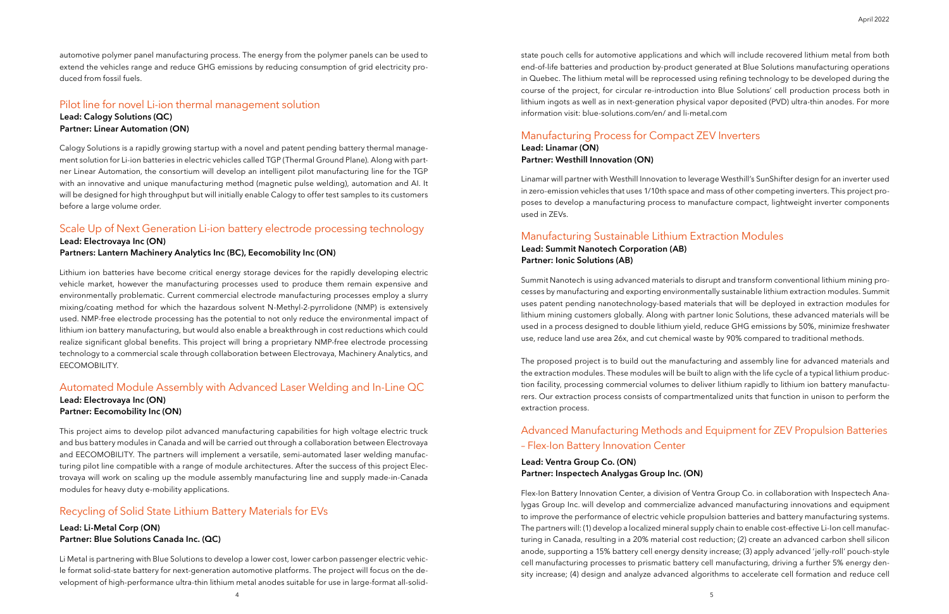Calogy Solutions is a rapidly growing startup with a novel and patent pending battery thermal management solution for Li-ion batteries in electric vehicles called TGP (Thermal Ground Plane). Along with partner Linear Automation, the consortium will develop an intelligent pilot manufacturing line for the TGP with an innovative and unique manufacturing method (magnetic pulse welding), automation and AI. It will be designed for high throughput but will initially enable Calogy to offer test samples to its customers before a large volume order.

# Pilot line for novel Li-ion thermal management solution

Lead: Calogy Solutions (QC) Partner: Linear Automation (ON) state pouch cells for automotive applications and which will include recovered lithium metal from both end-of-life batteries and production by-product generated at Blue Solutions manufacturing operations in Quebec. The lithium metal will be reprocessed using refining technology to be developed during the course of the project, for circular re-introduction into Blue Solutions' cell production process both in lithium ingots as well as in next-generation physical vapor deposited (PVD) ultra-thin anodes. For more information visit: blue-solutions.com/en/ and li-metal.com

automotive polymer panel manufacturing process. The energy from the polymer panels can be used to extend the vehicles range and reduce GHG emissions by reducing consumption of grid electricity produced from fossil fuels.

Lithium ion batteries have become critical energy storage devices for the rapidly developing electric vehicle market, however the manufacturing processes used to produce them remain expensive and environmentally problematic. Current commercial electrode manufacturing processes employ a slurry mixing/coating method for which the hazardous solvent N-Methyl-2-pyrrolidone (NMP) is extensively used. NMP-free electrode processing has the potential to not only reduce the environmental impact of lithium ion battery manufacturing, but would also enable a breakthrough in cost reductions which could realize significant global benefits. This project will bring a proprietary NMP-free electrode processing technology to a commercial scale through collaboration between Electrovaya, Machinery Analytics, and EECOMOBILITY.

This project aims to develop pilot advanced manufacturing capabilities for high voltage electric truck and bus battery modules in Canada and will be carried out through a collaboration between Electrovaya and EECOMOBILITY. The partners will implement a versatile, semi-automated laser welding manufacturing pilot line compatible with a range of module architectures. After the success of this project Electrovaya will work on scaling up the module assembly manufacturing line and supply made-in-Canada modules for heavy duty e-mobility applications.

### Scale Up of Next Generation Li-ion battery electrode processing technology Lead: Electrovaya Inc (ON)

### Automated Module Assembly with Advanced Laser Welding and In-Line QC Lead: Electrovaya Inc (ON)

Partners: Lantern Machinery Analytics Inc (BC), Eecomobility Inc (ON)

# Partner: Eecomobility Inc (ON)

Li Metal is partnering with Blue Solutions to develop a lower cost, lower carbon passenger electric vehicle format solid-state battery for next-generation automotive platforms. The project will focus on the development of high-performance ultra-thin lithium metal anodes suitable for use in large-format all-solid-

# Recycling of Solid State Lithium Battery Materials for EVs

#### Lead: Li-Metal Corp (ON) Partner: Blue Solutions Canada Inc. (QC)

Linamar will partner with Westhill Innovation to leverage Westhill's SunShifter design for an inverter used in zero-emission vehicles that uses 1/10th space and mass of other competing inverters. This project proposes to develop a manufacturing process to manufacture compact, lightweight inverter components used in ZEVs.

Summit Nanotech is using advanced materials to disrupt and transform conventional lithium mining processes by manufacturing and exporting environmentally sustainable lithium extraction modules. Summit uses patent pending nanotechnology-based materials that will be deployed in extraction modules for lithium mining customers globally. Along with partner Ionic Solutions, these advanced materials will be used in a process designed to double lithium yield, reduce GHG emissions by 50%, minimize freshwater use, reduce land use area 26x, and cut chemical waste by 90% compared to traditional methods.

The proposed project is to build out the manufacturing and assembly line for advanced materials and the extraction modules. These modules will be built to align with the life cycle of a typical lithium production facility, processing commercial volumes to deliver lithium rapidly to lithium ion battery manufacturers. Our extraction process consists of compartmentalized units that function in unison to perform the extraction process.

# Manufacturing Process for Compact ZEV Inverters

# Manufacturing Sustainable Lithium Extraction Modules

Lead: Linamar (ON) Partner: Westhill Innovation (ON)

#### Lead: Summit Nanotech Corporation (AB) Partner: Ionic Solutions (AB)

Flex-Ion Battery Innovation Center, a division of Ventra Group Co. in collaboration with Inspectech Analygas Group Inc. will develop and commercialize advanced manufacturing innovations and equipment to improve the performance of electric vehicle propulsion batteries and battery manufacturing systems. The partners will: (1) develop a localized mineral supply chain to enable cost-effective Li-Ion cell manufacturing in Canada, resulting in a 20% material cost reduction; (2) create an advanced carbon shell silicon anode, supporting a 15% battery cell energy density increase; (3) apply advanced 'jelly-roll' pouch-style cell manufacturing processes to prismatic battery cell manufacturing, driving a further 5% energy density increase; (4) design and analyze advanced algorithms to accelerate cell formation and reduce cell

# Advanced Manufacturing Methods and Equipment for ZEV Propulsion Batteries – Flex-Ion Battery Innovation Center

#### Lead: Ventra Group Co. (ON) Partner: Inspectech Analygas Group Inc. (ON)